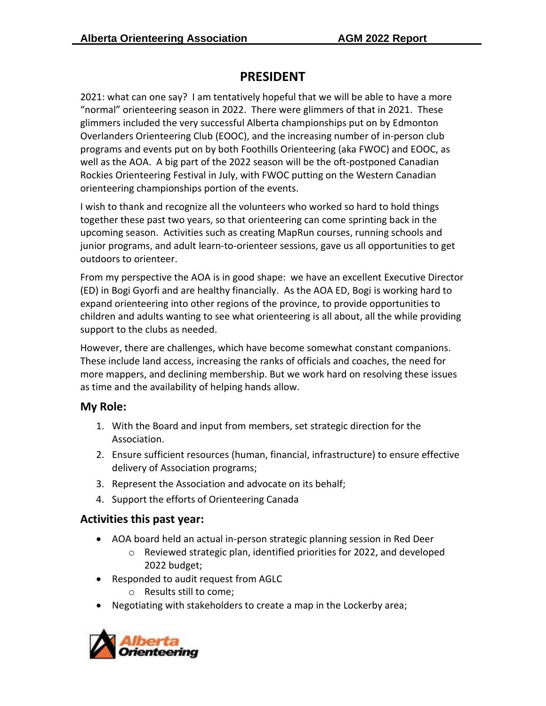## **PRESIDENT**

2021: what can one say? I am tentatively hopeful that we will be able to have a more "normal" orienteering season in 2022. There were glimmers of that in 2021. These glimmers included the very successful Alberta championships put on by Edmonton Overlanders Orienteering Club (EOOC), and the increasing number of in-person club programs and events put on by both Foothills Orienteering (aka FWOC) and EOOC, as well as the AOA. A big part of the 2022 season will be the oft-postponed Canadian Rockies Orienteering Festival in July, with FWOC putting on the Western Canadian orienteering championships portion of the events.

I wish to thank and recognize all the volunteers who worked so hard to hold things together these past two years, so that orienteering can come sprinting back in the upcoming season. Activities such as creating MapRun courses, running schools and junior programs, and adult learn-to-orienteer sessions, gave us all opportunities to get outdoors to orienteer.

From my perspective the AOA is in good shape: we have an excellent Executive Director (ED) in Bogi Gyorfi and are healthy financially. As the AOA ED, Bogi is working hard to expand orienteering into other regions of the province, to provide opportunities to children and adults wanting to see what orienteering is all about, all the while providing support to the clubs as needed.

However, there are challenges, which have become somewhat constant companions. These include land access, increasing the ranks of officials and coaches, the need for more mappers, and declining membership. But we work hard on resolving these issues as time and the availability of helping hands allow.

## **My Role:**

- 1. With the Board and input from members, set strategic direction for the Association.
- 2. Ensure sufficient resources (human, financial, infrastructure) to ensure effective delivery of Association programs;
- 3. Represent the Association and advocate on its behalf;
- 4. Support the efforts of Orienteering Canada

## **Activities this past year:**

- AOA board held an actual in-person strategic planning session in Red Deer
	- o Reviewed strategic plan, identified priorities for 2022, and developed 2022 budget;
- Responded to audit request from AGLC
	- o Results still to come;
- Negotiating with stakeholders to create a map in the Lockerby area;